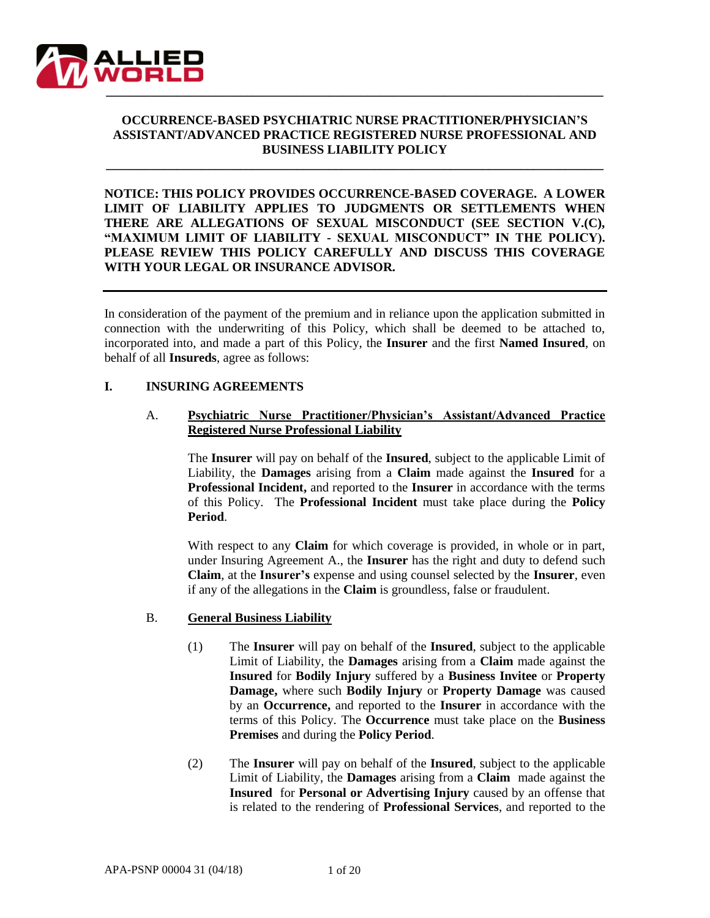

# **OCCURRENCE-BASED PSYCHIATRIC NURSE PRACTITIONER/PHYSICIAN'S ASSISTANT/ADVANCED PRACTICE REGISTERED NURSE PROFESSIONAL AND BUSINESS LIABILITY POLICY**

**\_\_\_\_\_\_\_\_\_\_\_\_\_\_\_\_\_\_\_\_\_\_\_\_\_\_\_\_\_\_\_\_\_\_\_\_\_\_\_\_\_\_\_\_\_\_\_\_\_\_\_\_\_\_\_\_\_\_\_\_\_\_\_\_\_\_\_\_\_\_\_\_\_\_\_\_\_\_**

**NOTICE: THIS POLICY PROVIDES OCCURRENCE-BASED COVERAGE. A LOWER LIMIT OF LIABILITY APPLIES TO JUDGMENTS OR SETTLEMENTS WHEN THERE ARE ALLEGATIONS OF SEXUAL MISCONDUCT (SEE SECTION V.(C), "MAXIMUM LIMIT OF LIABILITY - SEXUAL MISCONDUCT" IN THE POLICY). PLEASE REVIEW THIS POLICY CAREFULLY AND DISCUSS THIS COVERAGE WITH YOUR LEGAL OR INSURANCE ADVISOR.**

In consideration of the payment of the premium and in reliance upon the application submitted in connection with the underwriting of this Policy, which shall be deemed to be attached to, incorporated into, and made a part of this Policy, the **Insurer** and the first **Named Insured**, on behalf of all **Insureds**, agree as follows:

## **I. INSURING AGREEMENTS**

## A. **Psychiatric Nurse Practitioner/Physician's Assistant/Advanced Practice Registered Nurse Professional Liability**

The **Insurer** will pay on behalf of the **Insured**, subject to the applicable Limit of Liability, the **Damages** arising from a **Claim** made against the **Insured** for a **Professional Incident,** and reported to the **Insurer** in accordance with the terms of this Policy. The **Professional Incident** must take place during the **Policy Period**.

With respect to any **Claim** for which coverage is provided, in whole or in part, under Insuring Agreement A., the **Insurer** has the right and duty to defend such **Claim**, at the **Insurer's** expense and using counsel selected by the **Insurer**, even if any of the allegations in the **Claim** is groundless, false or fraudulent.

## B. **General Business Liability**

- (1) The **Insurer** will pay on behalf of the **Insured**, subject to the applicable Limit of Liability, the **Damages** arising from a **Claim** made against the **Insured** for **Bodily Injury** suffered by a **Business Invitee** or **Property Damage,** where such **Bodily Injury** or **Property Damage** was caused by an **Occurrence,** and reported to the **Insurer** in accordance with the terms of this Policy. The **Occurrence** must take place on the **Business Premises** and during the **Policy Period**.
- (2) The **Insurer** will pay on behalf of the **Insured**, subject to the applicable Limit of Liability, the **Damages** arising from a **Claim** made against the **Insured** for **Personal or Advertising Injury** caused by an offense that is related to the rendering of **Professional Services**, and reported to the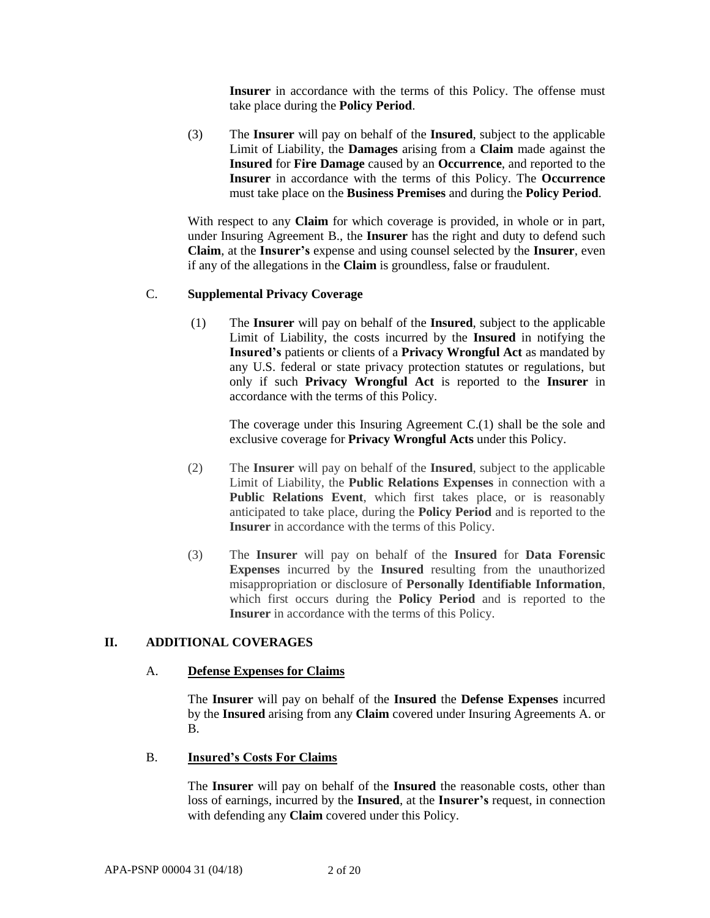**Insurer** in accordance with the terms of this Policy. The offense must take place during the **Policy Period**.

(3) The **Insurer** will pay on behalf of the **Insured**, subject to the applicable Limit of Liability, the **Damages** arising from a **Claim** made against the **Insured** for **Fire Damage** caused by an **Occurrence**, and reported to the **Insurer** in accordance with the terms of this Policy. The **Occurrence** must take place on the **Business Premises** and during the **Policy Period**.

With respect to any **Claim** for which coverage is provided, in whole or in part, under Insuring Agreement B., the **Insurer** has the right and duty to defend such **Claim**, at the **Insurer's** expense and using counsel selected by the **Insurer**, even if any of the allegations in the **Claim** is groundless, false or fraudulent.

## C. **Supplemental Privacy Coverage**

(1) The **Insurer** will pay on behalf of the **Insured**, subject to the applicable Limit of Liability, the costs incurred by the **Insured** in notifying the **Insured's** patients or clients of a **Privacy Wrongful Act** as mandated by any U.S. federal or state privacy protection statutes or regulations, but only if such **Privacy Wrongful Act** is reported to the **Insurer** in accordance with the terms of this Policy.

The coverage under this Insuring Agreement C.(1) shall be the sole and exclusive coverage for **Privacy Wrongful Acts** under this Policy.

- (2) The **Insurer** will pay on behalf of the **Insured**, subject to the applicable Limit of Liability, the **Public Relations Expenses** in connection with a **Public Relations Event**, which first takes place, or is reasonably anticipated to take place, during the **Policy Period** and is reported to the **Insurer** in accordance with the terms of this Policy.
- (3) The **Insurer** will pay on behalf of the **Insured** for **Data Forensic Expenses** incurred by the **Insured** resulting from the unauthorized misappropriation or disclosure of **Personally Identifiable Information**, which first occurs during the **Policy Period** and is reported to the **Insurer** in accordance with the terms of this Policy.

### **II. ADDITIONAL COVERAGES**

#### A. **Defense Expenses for Claims**

The **Insurer** will pay on behalf of the **Insured** the **Defense Expenses** incurred by the **Insured** arising from any **Claim** covered under Insuring Agreements A. or B.

#### B. **Insured's Costs For Claims**

The **Insurer** will pay on behalf of the **Insured** the reasonable costs, other than loss of earnings, incurred by the **Insured**, at the **Insurer's** request, in connection with defending any **Claim** covered under this Policy.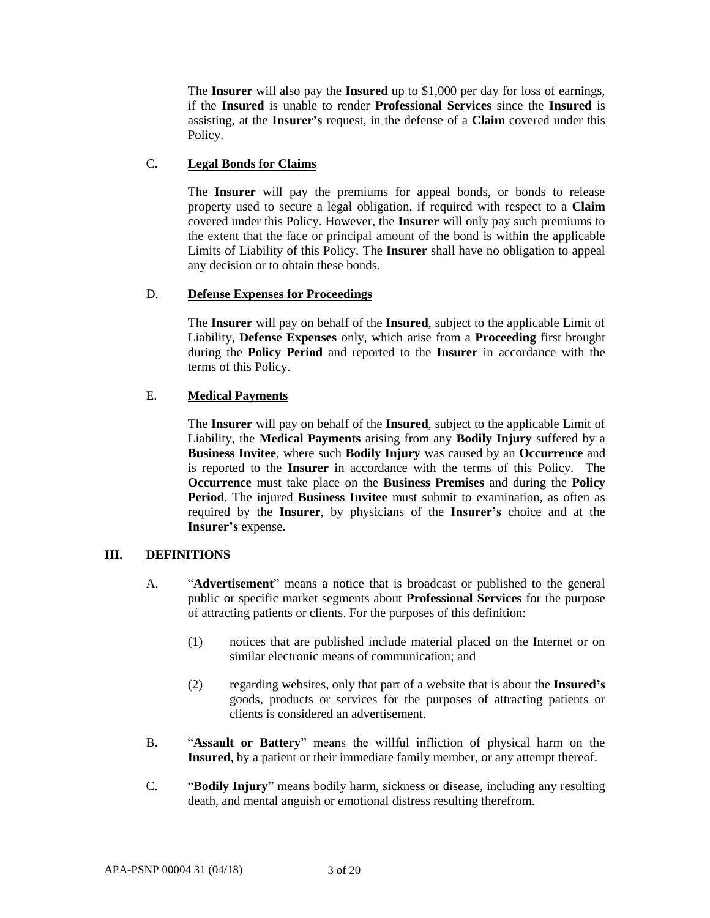The **Insurer** will also pay the **Insured** up to \$1,000 per day for loss of earnings, if the **Insured** is unable to render **Professional Services** since the **Insured** is assisting, at the **Insurer's** request, in the defense of a **Claim** covered under this Policy.

# C. **Legal Bonds for Claims**

The **Insurer** will pay the premiums for appeal bonds, or bonds to release property used to secure a legal obligation, if required with respect to a **Claim** covered under this Policy. However, the **Insurer** will only pay such premiums to the extent that the face or principal amount of the bond is within the applicable Limits of Liability of this Policy. The **Insurer** shall have no obligation to appeal any decision or to obtain these bonds.

## D. **Defense Expenses for Proceedings**

The **Insurer** will pay on behalf of the **Insured**, subject to the applicable Limit of Liability, **Defense Expenses** only, which arise from a **Proceeding** first brought during the **Policy Period** and reported to the **Insurer** in accordance with the terms of this Policy.

# E. **Medical Payments**

The **Insurer** will pay on behalf of the **Insured**, subject to the applicable Limit of Liability, the **Medical Payments** arising from any **Bodily Injury** suffered by a **Business Invitee**, where such **Bodily Injury** was caused by an **Occurrence** and is reported to the **Insurer** in accordance with the terms of this Policy. The **Occurrence** must take place on the **Business Premises** and during the **Policy Period**. The injured **Business Invitee** must submit to examination, as often as required by the **Insurer**, by physicians of the **Insurer's** choice and at the **Insurer's** expense.

## **III. DEFINITIONS**

- A. "**Advertisement**" means a notice that is broadcast or published to the general public or specific market segments about **Professional Services** for the purpose of attracting patients or clients. For the purposes of this definition:
	- (1) notices that are published include material placed on the Internet or on similar electronic means of communication; and
	- (2) regarding websites, only that part of a website that is about the **Insured's** goods, products or services for the purposes of attracting patients or clients is considered an advertisement.
- B. "**Assault or Battery**" means the willful infliction of physical harm on the **Insured**, by a patient or their immediate family member, or any attempt thereof.
- C. "**Bodily Injury**" means bodily harm, sickness or disease, including any resulting death, and mental anguish or emotional distress resulting therefrom.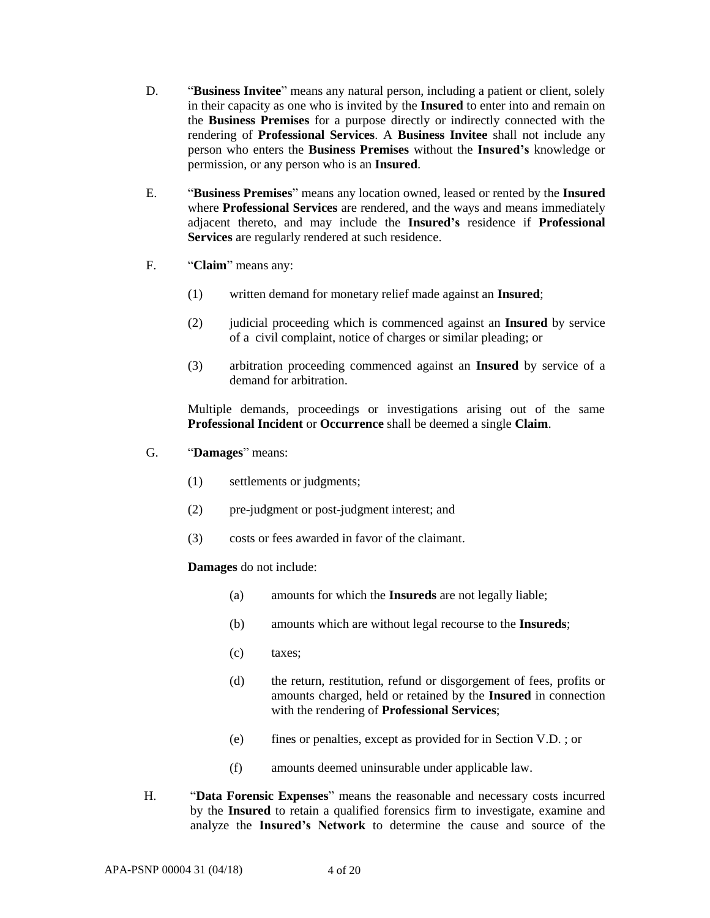- D. "**Business Invitee**" means any natural person, including a patient or client, solely in their capacity as one who is invited by the **Insured** to enter into and remain on the **Business Premises** for a purpose directly or indirectly connected with the rendering of **Professional Services**. A **Business Invitee** shall not include any person who enters the **Business Premises** without the **Insured's** knowledge or permission, or any person who is an **Insured**.
- E. "**Business Premises**" means any location owned, leased or rented by the **Insured**  where **Professional Services** are rendered, and the ways and means immediately adjacent thereto, and may include the **Insured's** residence if **Professional Services** are regularly rendered at such residence.
- F. "**Claim**" means any:
	- (1) written demand for monetary relief made against an **Insured**;
	- (2) judicial proceeding which is commenced against an **Insured** by service of a civil complaint, notice of charges or similar pleading; or
	- (3) arbitration proceeding commenced against an **Insured** by service of a demand for arbitration.

Multiple demands, proceedings or investigations arising out of the same **Professional Incident** or **Occurrence** shall be deemed a single **Claim**.

- G. "**Damages**" means:
	- (1) settlements or judgments;
	- (2) pre-judgment or post-judgment interest; and
	- (3) costs or fees awarded in favor of the claimant.

## **Damages** do not include:

- (a) amounts for which the **Insureds** are not legally liable;
- (b) amounts which are without legal recourse to the **Insureds**;
- (c) taxes;
- (d) the return, restitution, refund or disgorgement of fees, profits or amounts charged, held or retained by the **Insured** in connection with the rendering of **Professional Services**;
- (e) fines or penalties, except as provided for in Section V.D. ; or
- (f) amounts deemed uninsurable under applicable law.
- H. "**Data Forensic Expenses**" means the reasonable and necessary costs incurred by the **Insured** to retain a qualified forensics firm to investigate, examine and analyze the **Insured's Network** to determine the cause and source of the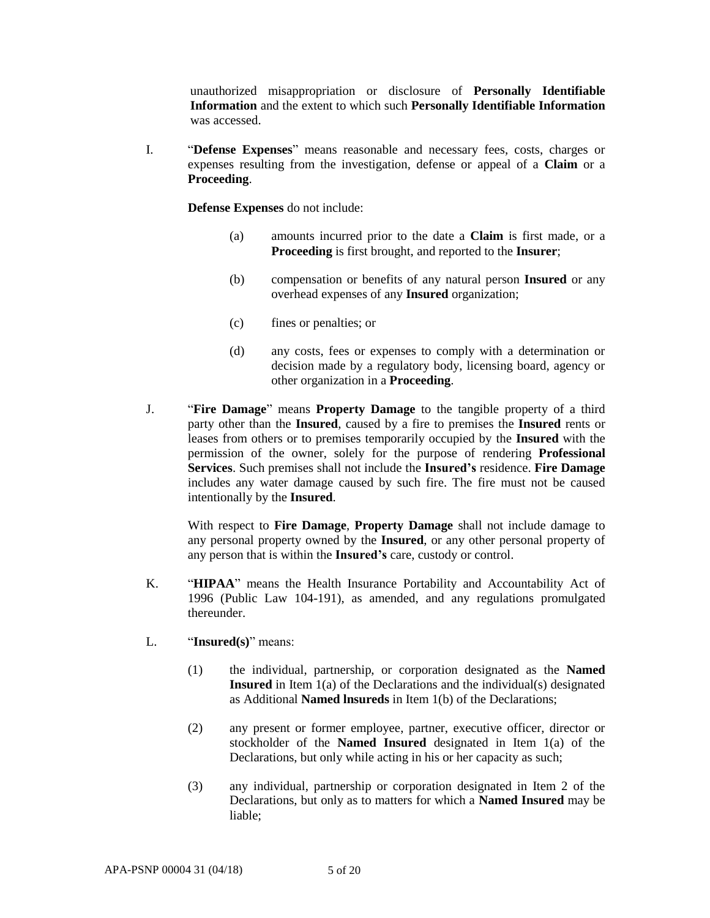unauthorized misappropriation or disclosure of **Personally Identifiable Information** and the extent to which such **Personally Identifiable Information** was accessed.

I. "**Defense Expenses**" means reasonable and necessary fees, costs, charges or expenses resulting from the investigation, defense or appeal of a **Claim** or a **Proceeding**.

**Defense Expenses** do not include:

- (a) amounts incurred prior to the date a **Claim** is first made, or a **Proceeding** is first brought, and reported to the **Insurer**;
- (b) compensation or benefits of any natural person **Insured** or any overhead expenses of any **Insured** organization;
- (c) fines or penalties; or
- (d) any costs, fees or expenses to comply with a determination or decision made by a regulatory body, licensing board, agency or other organization in a **Proceeding**.
- J. "**Fire Damage**" means **Property Damage** to the tangible property of a third party other than the **Insured**, caused by a fire to premises the **Insured** rents or leases from others or to premises temporarily occupied by the **Insured** with the permission of the owner, solely for the purpose of rendering **Professional Services**. Such premises shall not include the **Insured's** residence. **Fire Damage** includes any water damage caused by such fire. The fire must not be caused intentionally by the **Insured**.

With respect to **Fire Damage**, **Property Damage** shall not include damage to any personal property owned by the **Insured**, or any other personal property of any person that is within the **Insured's** care, custody or control.

- K. "**HIPAA**" means the Health Insurance Portability and Accountability Act of 1996 (Public Law 104-191), as amended, and any regulations promulgated thereunder.
- L. "**Insured(s)**" means:
	- (1) the individual, partnership, or corporation designated as the **Named Insured** in Item 1(a) of the Declarations and the individual(s) designated as Additional **Named lnsureds** in Item 1(b) of the Declarations;
	- (2) any present or former employee, partner, executive officer, director or stockholder of the **Named Insured** designated in Item 1(a) of the Declarations, but only while acting in his or her capacity as such;
	- (3) any individual, partnership or corporation designated in Item 2 of the Declarations, but only as to matters for which a **Named Insured** may be liable;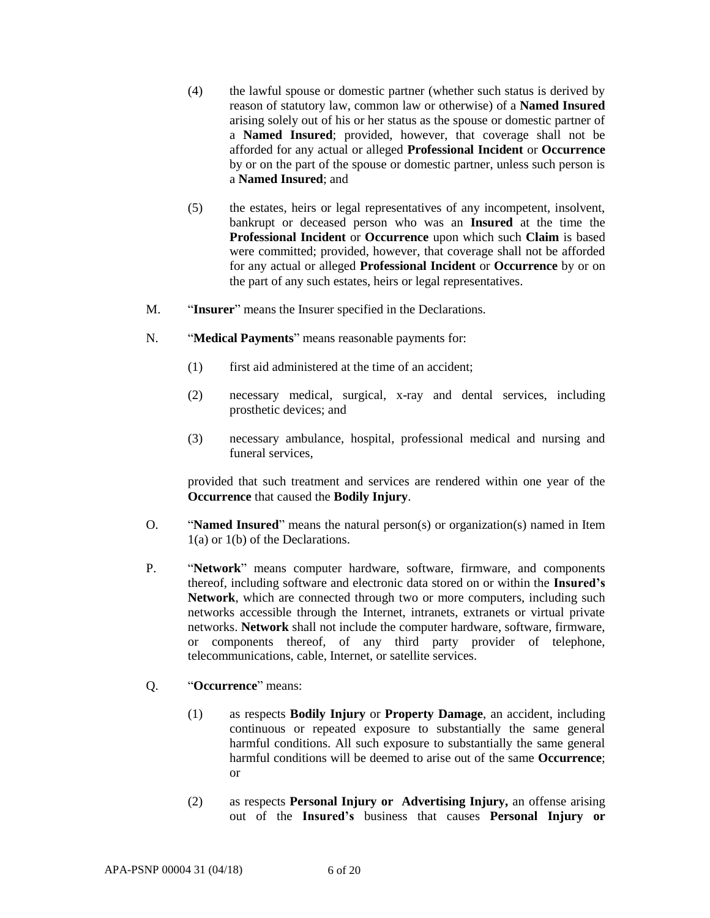- (4) the lawful spouse or domestic partner (whether such status is derived by reason of statutory law, common law or otherwise) of a **Named Insured**  arising solely out of his or her status as the spouse or domestic partner of a **Named Insured**; provided, however, that coverage shall not be afforded for any actual or alleged **Professional Incident** or **Occurrence** by or on the part of the spouse or domestic partner, unless such person is a **Named Insured**; and
- (5) the estates, heirs or legal representatives of any incompetent, insolvent, bankrupt or deceased person who was an **Insured** at the time the **Professional Incident** or **Occurrence** upon which such **Claim** is based were committed; provided, however, that coverage shall not be afforded for any actual or alleged **Professional Incident** or **Occurrence** by or on the part of any such estates, heirs or legal representatives.
- M. "**Insurer**" means the Insurer specified in the Declarations.
- N. "**Medical Payments**" means reasonable payments for:
	- (1) first aid administered at the time of an accident;
	- (2) necessary medical, surgical, x-ray and dental services, including prosthetic devices; and
	- (3) necessary ambulance, hospital, professional medical and nursing and funeral services,

provided that such treatment and services are rendered within one year of the **Occurrence** that caused the **Bodily Injury**.

- O. "**Named Insured**" means the natural person(s) or organization(s) named in Item 1(a) or 1(b) of the Declarations.
- P. "**Network**" means computer hardware, software, firmware, and components thereof, including software and electronic data stored on or within the **Insured's Network**, which are connected through two or more computers, including such networks accessible through the Internet, intranets, extranets or virtual private networks. **Network** shall not include the computer hardware, software, firmware, or components thereof, of any third party provider of telephone, telecommunications, cable, Internet, or satellite services.
- Q. "**Occurrence**" means:
	- (1) as respects **Bodily Injury** or **Property Damage**, an accident, including continuous or repeated exposure to substantially the same general harmful conditions. All such exposure to substantially the same general harmful conditions will be deemed to arise out of the same **Occurrence**; or
	- (2) as respects **Personal Injury or Advertising Injury,** an offense arising out of the **Insured's** business that causes **Personal Injury or**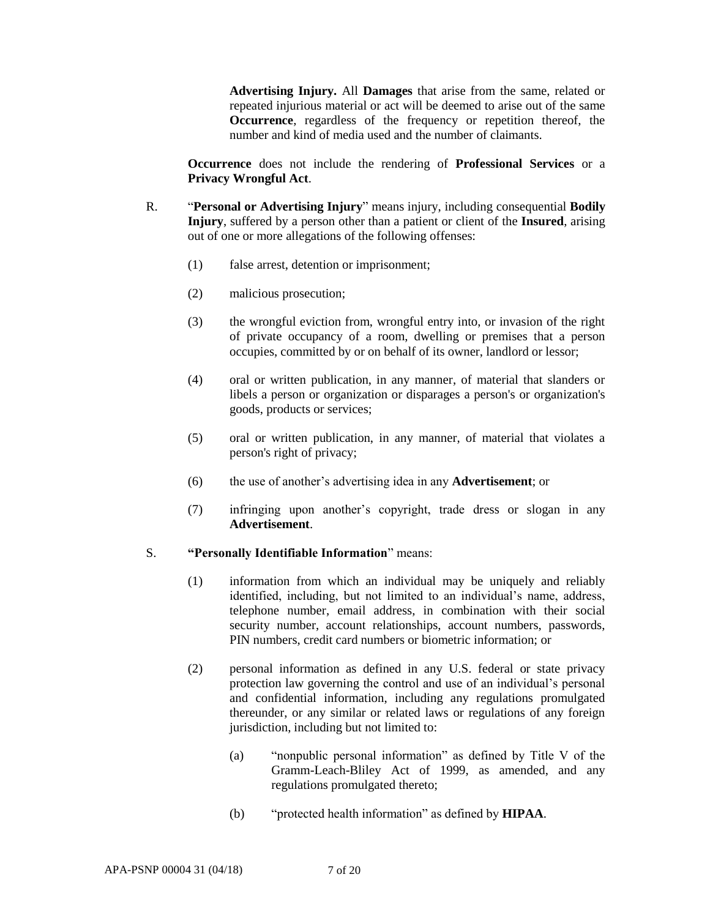**Advertising Injury.** All **Damages** that arise from the same, related or repeated injurious material or act will be deemed to arise out of the same **Occurrence**, regardless of the frequency or repetition thereof, the number and kind of media used and the number of claimants.

**Occurrence** does not include the rendering of **Professional Services** or a **Privacy Wrongful Act**.

- R. "**Personal or Advertising Injury**" means injury, including consequential **Bodily Injury**, suffered by a person other than a patient or client of the **Insured**, arising out of one or more allegations of the following offenses:
	- (1) false arrest, detention or imprisonment;
	- (2) malicious prosecution;
	- (3) the wrongful eviction from, wrongful entry into, or invasion of the right of private occupancy of a room, dwelling or premises that a person occupies, committed by or on behalf of its owner, landlord or lessor;
	- (4) oral or written publication, in any manner, of material that slanders or libels a person or organization or disparages a person's or organization's goods, products or services;
	- (5) oral or written publication, in any manner, of material that violates a person's right of privacy;
	- (6) the use of another's advertising idea in any **Advertisement**; or
	- (7) infringing upon another's copyright, trade dress or slogan in any **Advertisement**.

#### S. **"Personally Identifiable Information**" means:

- (1) information from which an individual may be uniquely and reliably identified, including, but not limited to an individual's name, address, telephone number, email address, in combination with their social security number, account relationships, account numbers, passwords, PIN numbers, credit card numbers or biometric information; or
- (2) personal information as defined in any U.S. federal or state privacy protection law governing the control and use of an individual's personal and confidential information, including any regulations promulgated thereunder, or any similar or related laws or regulations of any foreign jurisdiction, including but not limited to:
	- (a) "nonpublic personal information" as defined by Title V of the Gramm-Leach-Bliley Act of 1999, as amended, and any regulations promulgated thereto;
	- (b) "protected health information" as defined by **HIPAA**.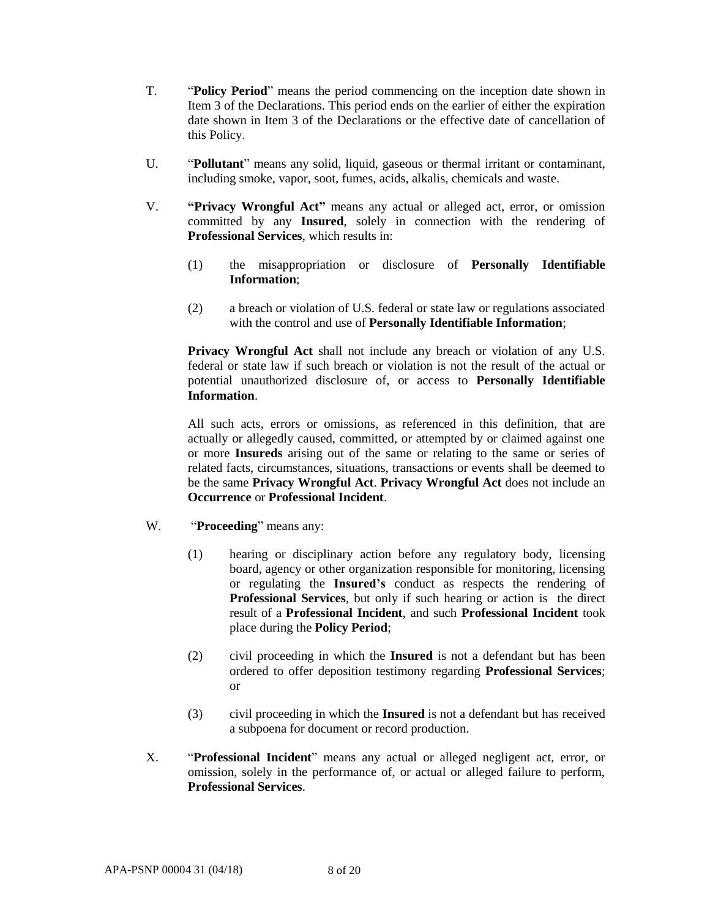- T. "**Policy Period**" means the period commencing on the inception date shown in Item 3 of the Declarations. This period ends on the earlier of either the expiration date shown in Item 3 of the Declarations or the effective date of cancellation of this Policy.
- U. "**Pollutant**" means any solid, liquid, gaseous or thermal irritant or contaminant, including smoke, vapor, soot, fumes, acids, alkalis, chemicals and waste.
- V. **"Privacy Wrongful Act"** means any actual or alleged act, error, or omission committed by any **Insured**, solely in connection with the rendering of **Professional Services**, which results in:
	- (1) the misappropriation or disclosure of **Personally Identifiable Information**;
	- (2) a breach or violation of U.S. federal or state law or regulations associated with the control and use of **Personally Identifiable Information**;

**Privacy Wrongful Act** shall not include any breach or violation of any U.S. federal or state law if such breach or violation is not the result of the actual or potential unauthorized disclosure of, or access to **Personally Identifiable Information**.

All such acts, errors or omissions, as referenced in this definition, that are actually or allegedly caused, committed, or attempted by or claimed against one or more **Insureds** arising out of the same or relating to the same or series of related facts, circumstances, situations, transactions or events shall be deemed to be the same **Privacy Wrongful Act**. **Privacy Wrongful Act** does not include an **Occurrence** or **Professional Incident**.

- W. "**Proceeding**" means any:
	- (1) hearing or disciplinary action before any regulatory body, licensing board, agency or other organization responsible for monitoring, licensing or regulating the **Insured's** conduct as respects the rendering of **Professional Services**, but only if such hearing or action is the direct result of a **Professional Incident**, and such **Professional Incident** took place during the **Policy Period**;
	- (2) civil proceeding in which the **Insured** is not a defendant but has been ordered to offer deposition testimony regarding **Professional Services**; or
	- (3) civil proceeding in which the **Insured** is not a defendant but has received a subpoena for document or record production.
- X. "**Professional Incident**" means any actual or alleged negligent act, error, or omission, solely in the performance of, or actual or alleged failure to perform, **Professional Services**.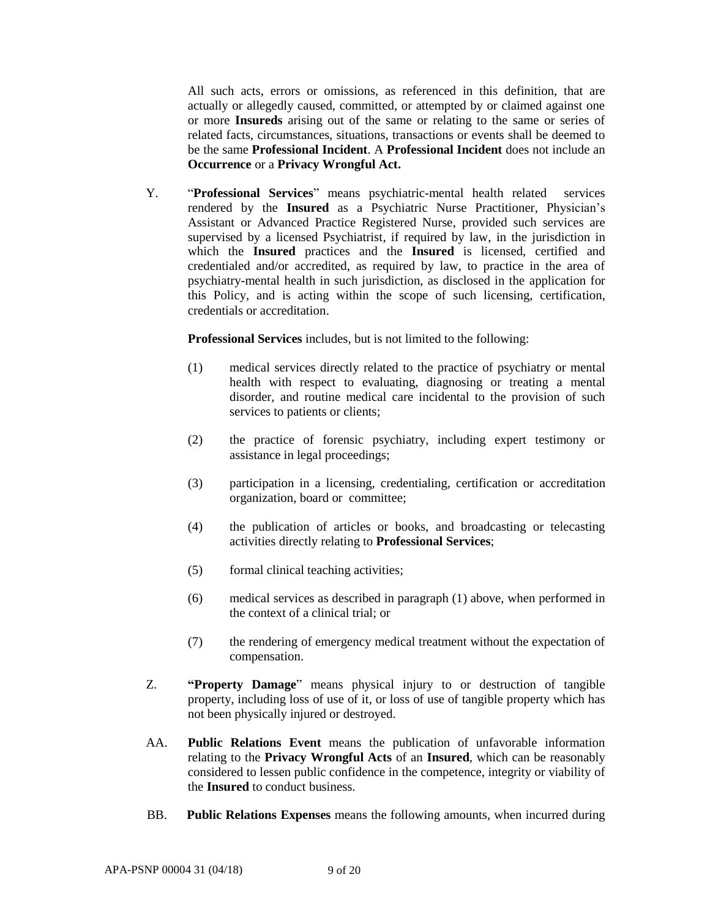All such acts, errors or omissions, as referenced in this definition, that are actually or allegedly caused, committed, or attempted by or claimed against one or more **Insureds** arising out of the same or relating to the same or series of related facts, circumstances, situations, transactions or events shall be deemed to be the same **Professional Incident**. A **Professional Incident** does not include an **Occurrence** or a **Privacy Wrongful Act.**

Y. "**Professional Services**" means psychiatric-mental health related services rendered by the **Insured** as a Psychiatric Nurse Practitioner, Physician's Assistant or Advanced Practice Registered Nurse, provided such services are supervised by a licensed Psychiatrist, if required by law, in the jurisdiction in which the **Insured** practices and the **Insured** is licensed, certified and credentialed and/or accredited, as required by law, to practice in the area of psychiatry-mental health in such jurisdiction, as disclosed in the application for this Policy, and is acting within the scope of such licensing, certification, credentials or accreditation.

**Professional Services** includes, but is not limited to the following:

- (1) medical services directly related to the practice of psychiatry or mental health with respect to evaluating, diagnosing or treating a mental disorder, and routine medical care incidental to the provision of such services to patients or clients;
- (2) the practice of forensic psychiatry, including expert testimony or assistance in legal proceedings;
- (3) participation in a licensing, credentialing, certification or accreditation organization, board or committee;
- (4) the publication of articles or books, and broadcasting or telecasting activities directly relating to **Professional Services**;
- (5) formal clinical teaching activities;
- (6) medical services as described in paragraph (1) above, when performed in the context of a clinical trial; or
- (7) the rendering of emergency medical treatment without the expectation of compensation.
- Z. **"Property Damage**" means physical injury to or destruction of tangible property, including loss of use of it, or loss of use of tangible property which has not been physically injured or destroyed.
- AA. **Public Relations Event** means the publication of unfavorable information relating to the **Privacy Wrongful Acts** of an **Insured**, which can be reasonably considered to lessen public confidence in the competence, integrity or viability of the **Insured** to conduct business.
- BB. **Public Relations Expenses** means the following amounts, when incurred during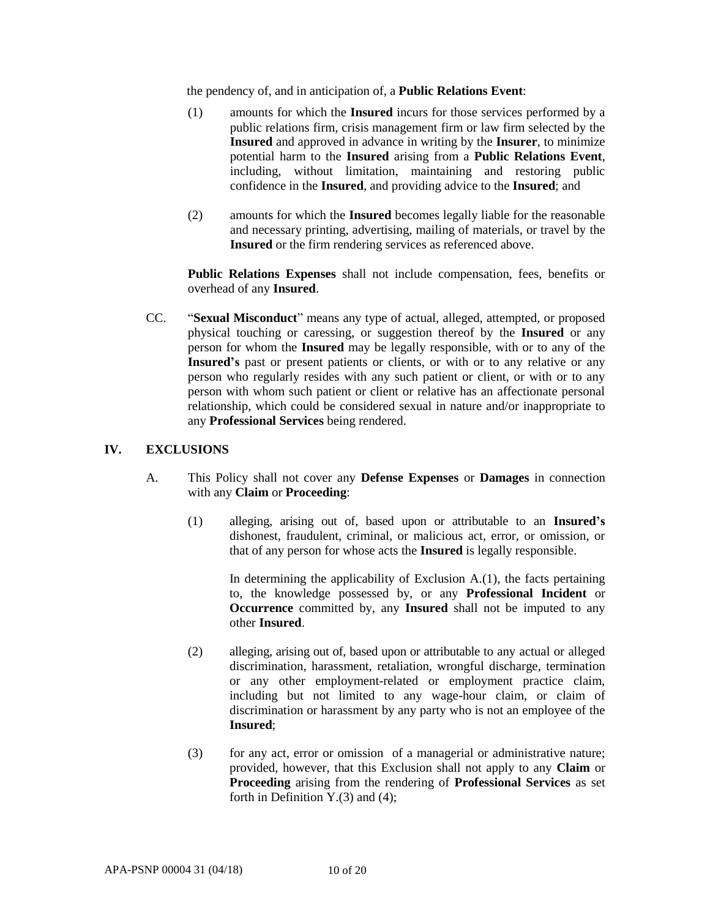the pendency of, and in anticipation of, a **Public Relations Event**:

- (1) amounts for which the **Insured** incurs for those services performed by a public relations firm, crisis management firm or law firm selected by the **Insured** and approved in advance in writing by the **Insurer**, to minimize potential harm to the **Insured** arising from a **Public Relations Event**, including, without limitation, maintaining and restoring public confidence in the **Insured**, and providing advice to the **Insured**; and
- (2) amounts for which the **Insured** becomes legally liable for the reasonable and necessary printing, advertising, mailing of materials, or travel by the **Insured** or the firm rendering services as referenced above.

**Public Relations Expenses** shall not include compensation, fees, benefits or overhead of any **Insured**.

CC. "**Sexual Misconduct**" means any type of actual, alleged, attempted, or proposed physical touching or caressing, or suggestion thereof by the **Insured** or any person for whom the **Insured** may be legally responsible, with or to any of the **Insured's** past or present patients or clients, or with or to any relative or any person who regularly resides with any such patient or client, or with or to any person with whom such patient or client or relative has an affectionate personal relationship, which could be considered sexual in nature and/or inappropriate to any **Professional Services** being rendered.

## **IV. EXCLUSIONS**

- A. This Policy shall not cover any **Defense Expenses** or **Damages** in connection with any **Claim** or **Proceeding**:
	- (1) alleging, arising out of, based upon or attributable to an **Insured's** dishonest, fraudulent, criminal, or malicious act, error, or omission, or that of any person for whose acts the **Insured** is legally responsible.

In determining the applicability of Exclusion  $A(1)$ , the facts pertaining to, the knowledge possessed by, or any **Professional Incident** or **Occurrence** committed by, any **Insured** shall not be imputed to any other **Insured**.

- (2) alleging, arising out of, based upon or attributable to any actual or alleged discrimination, harassment, retaliation, wrongful discharge, termination or any other employment-related or employment practice claim, including but not limited to any wage-hour claim, or claim of discrimination or harassment by any party who is not an employee of the **Insured**;
- (3) for any act, error or omission of a managerial or administrative nature; provided, however, that this Exclusion shall not apply to any **Claim** or **Proceeding** arising from the rendering of **Professional Services** as set forth in Definition  $Y(3)$  and (4);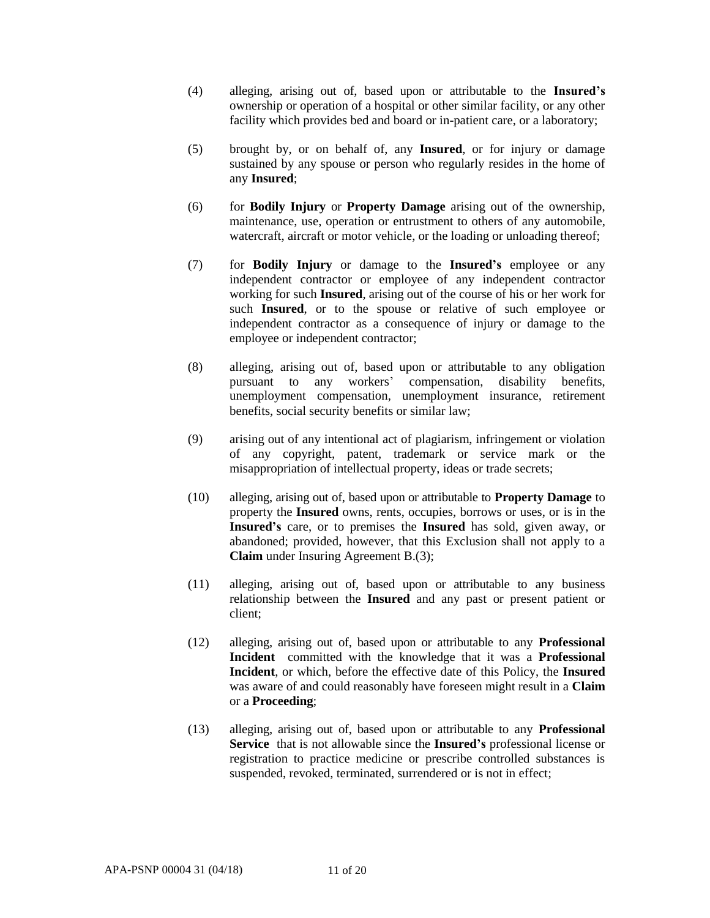- (4) alleging, arising out of, based upon or attributable to the **Insured's** ownership or operation of a hospital or other similar facility, or any other facility which provides bed and board or in-patient care, or a laboratory;
- (5) brought by, or on behalf of, any **Insured**, or for injury or damage sustained by any spouse or person who regularly resides in the home of any **Insured**;
- (6) for **Bodily Injury** or **Property Damage** arising out of the ownership, maintenance, use, operation or entrustment to others of any automobile, watercraft, aircraft or motor vehicle, or the loading or unloading thereof;
- (7) for **Bodily Injury** or damage to the **Insured's** employee or any independent contractor or employee of any independent contractor working for such **Insured**, arising out of the course of his or her work for such **Insured**, or to the spouse or relative of such employee or independent contractor as a consequence of injury or damage to the employee or independent contractor;
- (8) alleging, arising out of, based upon or attributable to any obligation pursuant to any workers' compensation, disability benefits, unemployment compensation, unemployment insurance, retirement benefits, social security benefits or similar law;
- (9) arising out of any intentional act of plagiarism, infringement or violation of any copyright, patent, trademark or service mark or the misappropriation of intellectual property, ideas or trade secrets;
- (10) alleging, arising out of, based upon or attributable to **Property Damage** to property the **Insured** owns, rents, occupies, borrows or uses, or is in the **Insured's** care, or to premises the **Insured** has sold, given away, or abandoned; provided, however, that this Exclusion shall not apply to a **Claim** under Insuring Agreement B.(3);
- (11) alleging, arising out of, based upon or attributable to any business relationship between the **Insured** and any past or present patient or client;
- (12) alleging, arising out of, based upon or attributable to any **Professional Incident** committed with the knowledge that it was a **Professional Incident**, or which, before the effective date of this Policy, the **Insured** was aware of and could reasonably have foreseen might result in a **Claim** or a **Proceeding**;
- (13) alleging, arising out of, based upon or attributable to any **Professional Service** that is not allowable since the **Insured's** professional license or registration to practice medicine or prescribe controlled substances is suspended, revoked, terminated, surrendered or is not in effect;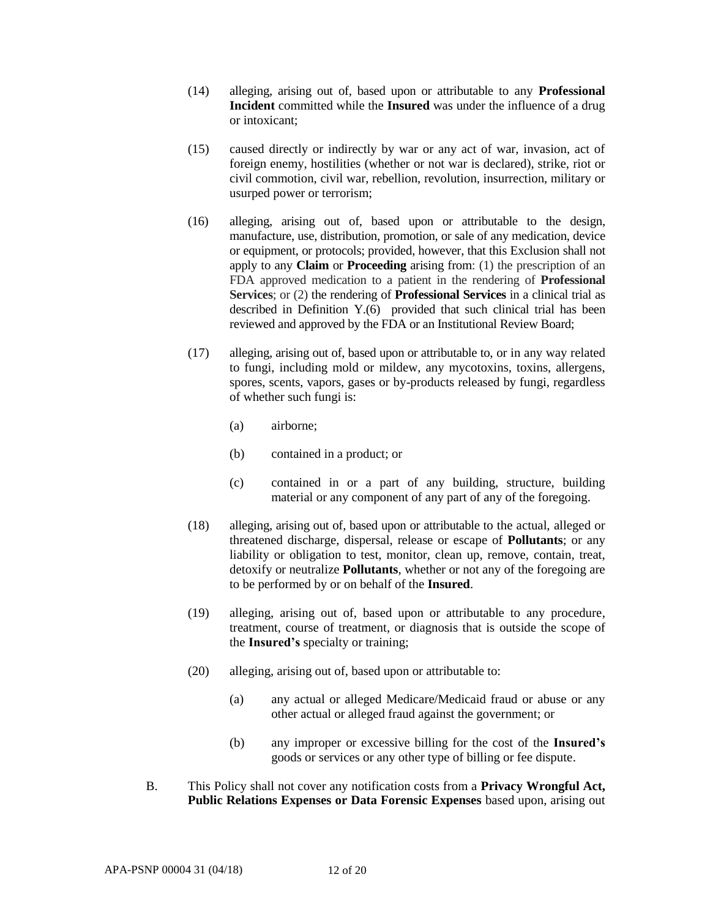- (14) alleging, arising out of, based upon or attributable to any **Professional Incident** committed while the **Insured** was under the influence of a drug or intoxicant;
- (15) caused directly or indirectly by war or any act of war, invasion, act of foreign enemy, hostilities (whether or not war is declared), strike, riot or civil commotion, civil war, rebellion, revolution, insurrection, military or usurped power or terrorism;
- (16) alleging, arising out of, based upon or attributable to the design, manufacture, use, distribution, promotion, or sale of any medication, device or equipment, or protocols; provided, however, that this Exclusion shall not apply to any **Claim** or **Proceeding** arising from: (1) the prescription of an FDA approved medication to a patient in the rendering of **Professional Services**; or (2) the rendering of **Professional Services** in a clinical trial as described in Definition Y.(6) provided that such clinical trial has been reviewed and approved by the FDA or an Institutional Review Board;
- (17) alleging, arising out of, based upon or attributable to, or in any way related to fungi, including mold or mildew, any mycotoxins, toxins, allergens, spores, scents, vapors, gases or by-products released by fungi, regardless of whether such fungi is:
	- (a) airborne;
	- (b) contained in a product; or
	- (c) contained in or a part of any building, structure, building material or any component of any part of any of the foregoing.
- (18) alleging, arising out of, based upon or attributable to the actual, alleged or threatened discharge, dispersal, release or escape of **Pollutants**; or any liability or obligation to test, monitor, clean up, remove, contain, treat, detoxify or neutralize **Pollutants**, whether or not any of the foregoing are to be performed by or on behalf of the **Insured**.
- (19) alleging, arising out of, based upon or attributable to any procedure, treatment, course of treatment, or diagnosis that is outside the scope of the **Insured's** specialty or training;
- (20) alleging, arising out of, based upon or attributable to:
	- (a) any actual or alleged Medicare/Medicaid fraud or abuse or any other actual or alleged fraud against the government; or
	- (b) any improper or excessive billing for the cost of the **Insured's** goods or services or any other type of billing or fee dispute.
- B. This Policy shall not cover any notification costs from a **Privacy Wrongful Act, Public Relations Expenses or Data Forensic Expenses** based upon, arising out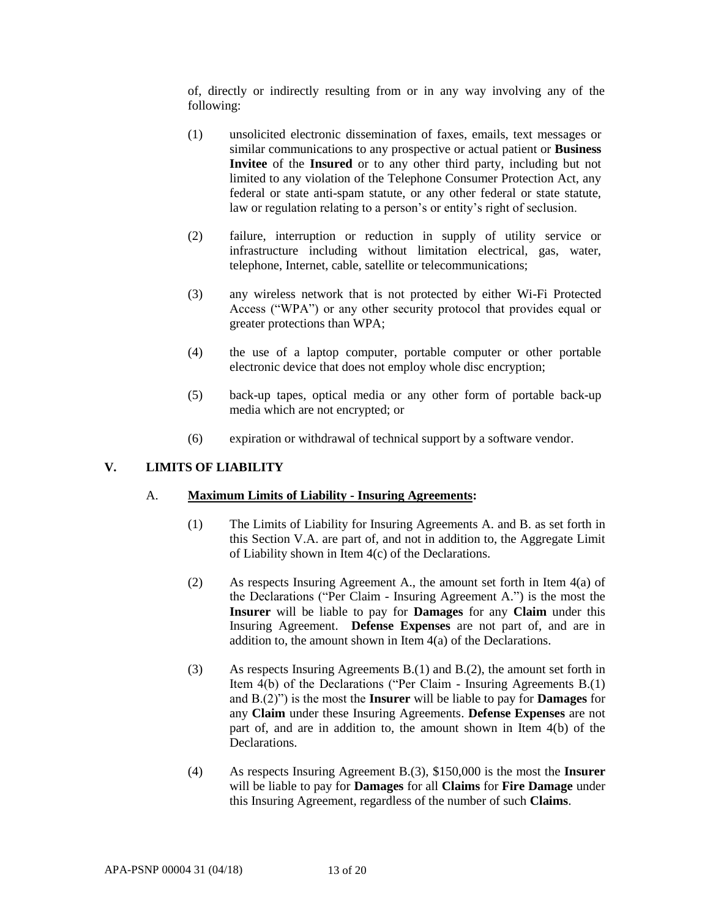of, directly or indirectly resulting from or in any way involving any of the following:

- (1) unsolicited electronic dissemination of faxes, emails, text messages or similar communications to any prospective or actual patient or **Business Invitee** of the **Insured** or to any other third party, including but not limited to any violation of the Telephone Consumer Protection Act, any federal or state anti-spam statute, or any other federal or state statute, law or regulation relating to a person's or entity's right of seclusion.
- (2) failure, interruption or reduction in supply of utility service or infrastructure including without limitation electrical, gas, water, telephone, Internet, cable, satellite or telecommunications;
- (3) any wireless network that is not protected by either Wi-Fi Protected Access ("WPA") or any other security protocol that provides equal or greater protections than WPA;
- (4) the use of a laptop computer, portable computer or other portable electronic device that does not employ whole disc encryption;
- (5) back-up tapes, optical media or any other form of portable back-up media which are not encrypted; or
- (6) expiration or withdrawal of technical support by a software vendor.

## **V. LIMITS OF LIABILITY**

### A. **Maximum Limits of Liability - Insuring Agreements:**

- (1) The Limits of Liability for Insuring Agreements A. and B. as set forth in this Section V.A. are part of, and not in addition to, the Aggregate Limit of Liability shown in Item 4(c) of the Declarations.
- (2) As respects Insuring Agreement A., the amount set forth in Item 4(a) of the Declarations ("Per Claim - Insuring Agreement A.") is the most the **Insurer** will be liable to pay for **Damages** for any **Claim** under this Insuring Agreement. **Defense Expenses** are not part of, and are in addition to, the amount shown in Item 4(a) of the Declarations.
- (3) As respects Insuring Agreements B.(1) and B.(2), the amount set forth in Item 4(b) of the Declarations ("Per Claim - Insuring Agreements B.(1) and B.(2)") is the most the **Insurer** will be liable to pay for **Damages** for any **Claim** under these Insuring Agreements. **Defense Expenses** are not part of, and are in addition to, the amount shown in Item 4(b) of the **Declarations**
- (4) As respects Insuring Agreement B.(3), \$150,000 is the most the **Insurer**  will be liable to pay for **Damages** for all **Claims** for **Fire Damage** under this Insuring Agreement, regardless of the number of such **Claims**.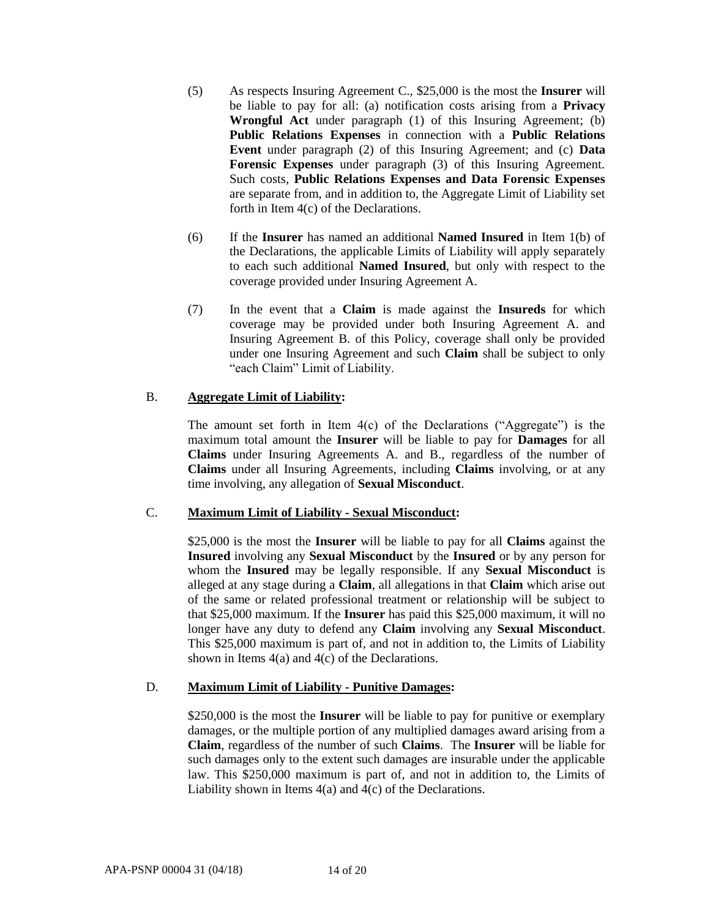- (5) As respects Insuring Agreement C., \$25,000 is the most the **Insurer** will be liable to pay for all: (a) notification costs arising from a **Privacy Wrongful Act** under paragraph (1) of this Insuring Agreement; (b) **Public Relations Expenses** in connection with a **Public Relations Event** under paragraph (2) of this Insuring Agreement; and (c) **Data Forensic Expenses** under paragraph (3) of this Insuring Agreement. Such costs, **Public Relations Expenses and Data Forensic Expenses**  are separate from, and in addition to, the Aggregate Limit of Liability set forth in Item 4(c) of the Declarations.
- (6) If the **Insurer** has named an additional **Named Insured** in Item 1(b) of the Declarations, the applicable Limits of Liability will apply separately to each such additional **Named Insured**, but only with respect to the coverage provided under Insuring Agreement A.
- (7) In the event that a **Claim** is made against the **Insureds** for which coverage may be provided under both Insuring Agreement A. and Insuring Agreement B. of this Policy, coverage shall only be provided under one Insuring Agreement and such **Claim** shall be subject to only "each Claim" Limit of Liability.

## B. **Aggregate Limit of Liability:**

The amount set forth in Item  $4(c)$  of the Declarations ("Aggregate") is the maximum total amount the **Insurer** will be liable to pay for **Damages** for all **Claims** under Insuring Agreements A. and B., regardless of the number of **Claims** under all Insuring Agreements, including **Claims** involving, or at any time involving, any allegation of **Sexual Misconduct**.

# C. **Maximum Limit of Liability - Sexual Misconduct:**

\$25,000 is the most the **Insurer** will be liable to pay for all **Claims** against the **Insured** involving any **Sexual Misconduct** by the **Insured** or by any person for whom the **Insured** may be legally responsible. If any **Sexual Misconduct** is alleged at any stage during a **Claim**, all allegations in that **Claim** which arise out of the same or related professional treatment or relationship will be subject to that \$25,000 maximum. If the **Insurer** has paid this \$25,000 maximum, it will no longer have any duty to defend any **Claim** involving any **Sexual Misconduct**. This \$25,000 maximum is part of, and not in addition to, the Limits of Liability shown in Items 4(a) and 4(c) of the Declarations.

## D. **Maximum Limit of Liability - Punitive Damages:**

\$250,000 is the most the **Insurer** will be liable to pay for punitive or exemplary damages, or the multiple portion of any multiplied damages award arising from a **Claim**, regardless of the number of such **Claims**. The **Insurer** will be liable for such damages only to the extent such damages are insurable under the applicable law. This \$250,000 maximum is part of, and not in addition to, the Limits of Liability shown in Items 4(a) and 4(c) of the Declarations.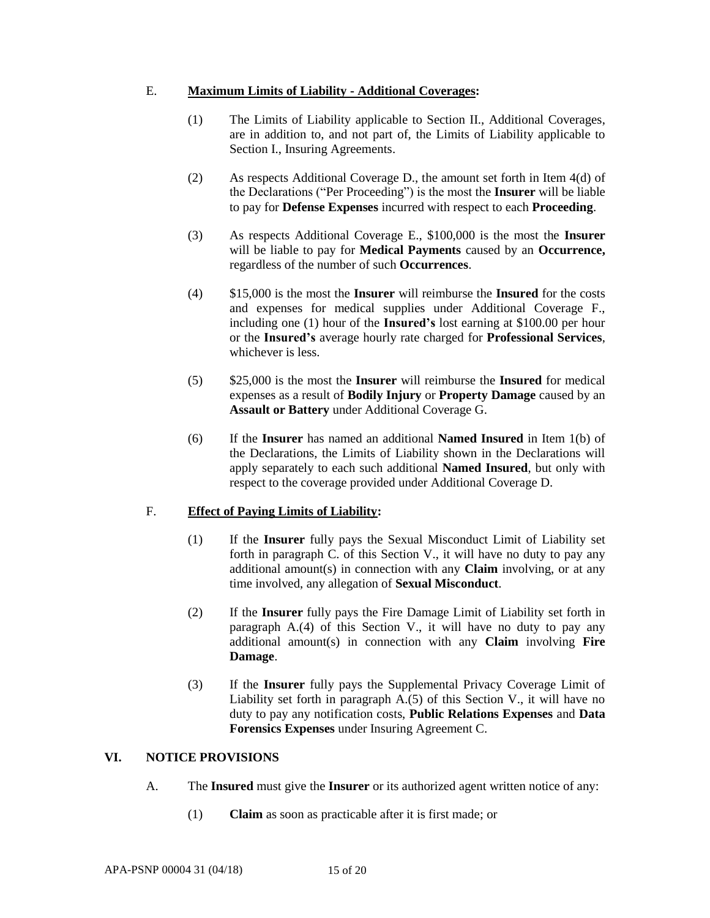## E. **Maximum Limits of Liability - Additional Coverages:**

- (1) The Limits of Liability applicable to Section II., Additional Coverages, are in addition to, and not part of, the Limits of Liability applicable to Section I., Insuring Agreements.
- (2) As respects Additional Coverage D., the amount set forth in Item 4(d) of the Declarations ("Per Proceeding") is the most the **Insurer** will be liable to pay for **Defense Expenses** incurred with respect to each **Proceeding**.
- (3) As respects Additional Coverage E., \$100,000 is the most the **Insurer**  will be liable to pay for **Medical Payments** caused by an **Occurrence,**  regardless of the number of such **Occurrences**.
- (4) \$15,000 is the most the **Insurer** will reimburse the **Insured** for the costs and expenses for medical supplies under Additional Coverage F., including one (1) hour of the **Insured's** lost earning at \$100.00 per hour or the **Insured's** average hourly rate charged for **Professional Services**, whichever is less.
- (5) \$25,000 is the most the **Insurer** will reimburse the **Insured** for medical expenses as a result of **Bodily Injury** or **Property Damage** caused by an **Assault or Battery** under Additional Coverage G.
- (6) If the **Insurer** has named an additional **Named Insured** in Item 1(b) of the Declarations, the Limits of Liability shown in the Declarations will apply separately to each such additional **Named Insured**, but only with respect to the coverage provided under Additional Coverage D.

# F. **Effect of Paying Limits of Liability:**

- (1) If the **Insurer** fully pays the Sexual Misconduct Limit of Liability set forth in paragraph C. of this Section V., it will have no duty to pay any additional amount(s) in connection with any **Claim** involving, or at any time involved, any allegation of **Sexual Misconduct**.
- (2) If the **Insurer** fully pays the Fire Damage Limit of Liability set forth in paragraph A.(4) of this Section V., it will have no duty to pay any additional amount(s) in connection with any **Claim** involving **Fire Damage**.
- (3) If the **Insurer** fully pays the Supplemental Privacy Coverage Limit of Liability set forth in paragraph A.(5) of this Section V., it will have no duty to pay any notification costs, **Public Relations Expenses** and **Data Forensics Expenses** under Insuring Agreement C.

## **VI. NOTICE PROVISIONS**

- A. The **Insured** must give the **Insurer** or its authorized agent written notice of any:
	- (1) **Claim** as soon as practicable after it is first made; or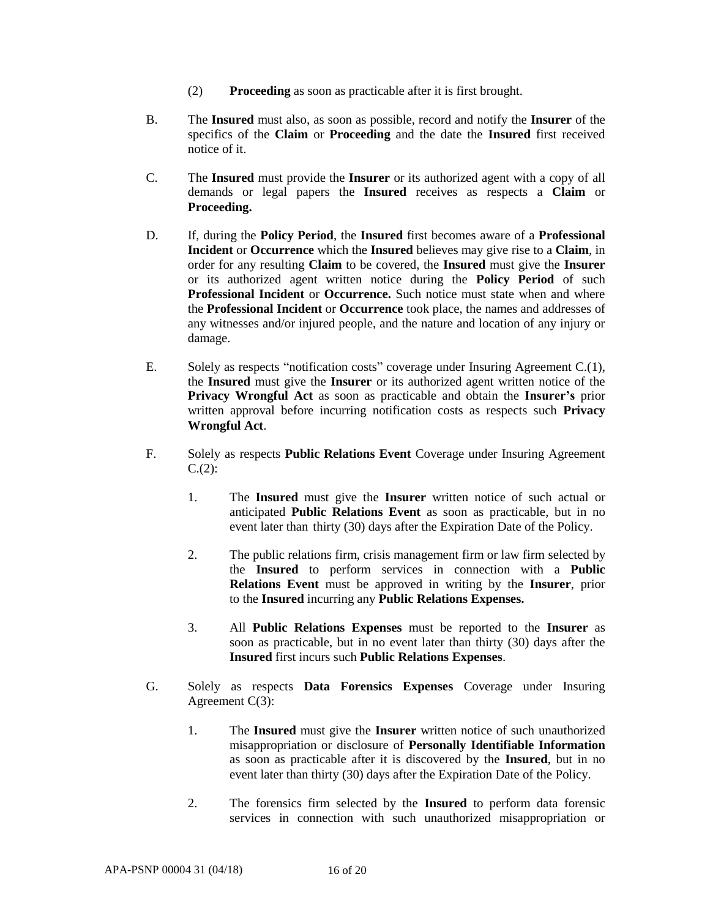- (2) **Proceeding** as soon as practicable after it is first brought.
- B. The **Insured** must also, as soon as possible, record and notify the **Insurer** of the specifics of the **Claim** or **Proceeding** and the date the **Insured** first received notice of it.
- C. The **Insured** must provide the **Insurer** or its authorized agent with a copy of all demands or legal papers the **Insured** receives as respects a **Claim** or **Proceeding.**
- D. If, during the **Policy Period**, the **Insured** first becomes aware of a **Professional Incident** or **Occurrence** which the **Insured** believes may give rise to a **Claim**, in order for any resulting **Claim** to be covered, the **Insured** must give the **Insurer** or its authorized agent written notice during the **Policy Period** of such **Professional Incident** or **Occurrence.** Such notice must state when and where the **Professional Incident** or **Occurrence** took place, the names and addresses of any witnesses and/or injured people, and the nature and location of any injury or damage.
- E. Solely as respects "notification costs" coverage under Insuring Agreement C.(1), the **Insured** must give the **Insurer** or its authorized agent written notice of the **Privacy Wrongful Act** as soon as practicable and obtain the **Insurer's** prior written approval before incurring notification costs as respects such **Privacy Wrongful Act**.
- F. Solely as respects **Public Relations Event** Coverage under Insuring Agreement  $C.(2)$ :
	- 1. The **Insured** must give the **Insurer** written notice of such actual or anticipated **Public Relations Event** as soon as practicable, but in no event later than thirty (30) days after the Expiration Date of the Policy.
	- 2. The public relations firm, crisis management firm or law firm selected by the **Insured** to perform services in connection with a **Public Relations Event** must be approved in writing by the **Insurer**, prior to the **Insured** incurring any **Public Relations Expenses.**
	- 3. All **Public Relations Expenses** must be reported to the **Insurer** as soon as practicable, but in no event later than thirty (30) days after the **Insured** first incurs such **Public Relations Expenses**.
- G. Solely as respects **Data Forensics Expenses** Coverage under Insuring Agreement C(3):
	- 1. The **Insured** must give the **Insurer** written notice of such unauthorized misappropriation or disclosure of **Personally Identifiable Information** as soon as practicable after it is discovered by the **Insured**, but in no event later than thirty (30) days after the Expiration Date of the Policy.
	- 2. The forensics firm selected by the **Insured** to perform data forensic services in connection with such unauthorized misappropriation or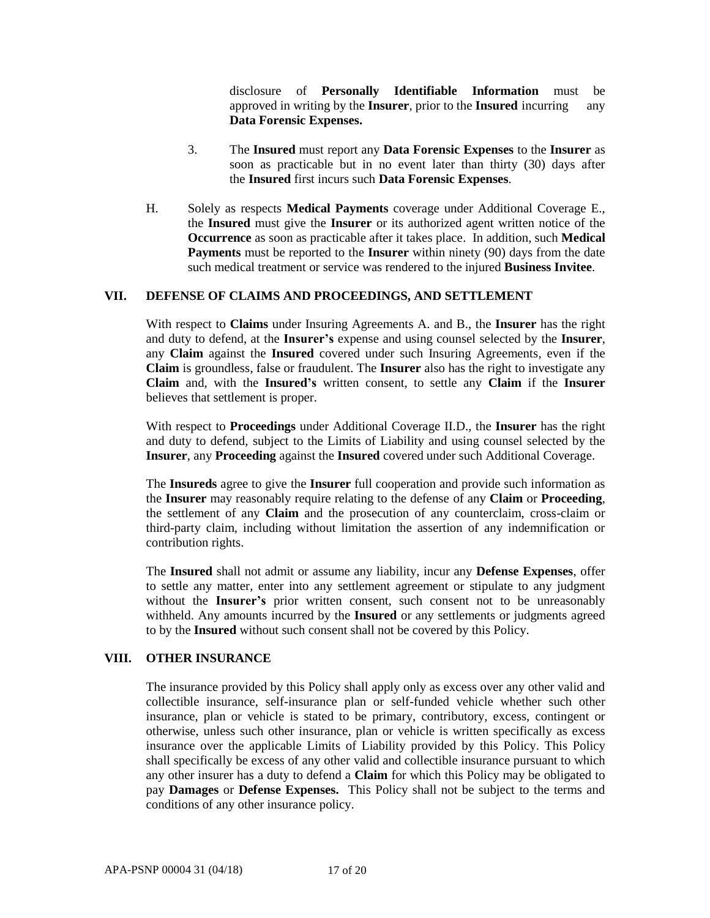disclosure of **Personally Identifiable Information** must be approved in writing by the **Insurer**, prior to the **Insured** incurring any **Data Forensic Expenses.**

- 3. The **Insured** must report any **Data Forensic Expenses** to the **Insurer** as soon as practicable but in no event later than thirty (30) days after the **Insured** first incurs such **Data Forensic Expenses**.
- H. Solely as respects **Medical Payments** coverage under Additional Coverage E., the **Insured** must give the **Insurer** or its authorized agent written notice of the **Occurrence** as soon as practicable after it takes place. In addition, such **Medical Payments** must be reported to the **Insurer** within ninety (90) days from the date such medical treatment or service was rendered to the injured **Business Invitee**.

## **VII. DEFENSE OF CLAIMS AND PROCEEDINGS, AND SETTLEMENT**

With respect to **Claims** under Insuring Agreements A. and B., the **Insurer** has the right and duty to defend, at the **Insurer's** expense and using counsel selected by the **Insurer**, any **Claim** against the **Insured** covered under such Insuring Agreements, even if the **Claim** is groundless, false or fraudulent. The **Insurer** also has the right to investigate any **Claim** and, with the **Insured's** written consent, to settle any **Claim** if the **Insurer**  believes that settlement is proper.

With respect to **Proceedings** under Additional Coverage II.D., the **Insurer** has the right and duty to defend, subject to the Limits of Liability and using counsel selected by the **Insurer**, any **Proceeding** against the **Insured** covered under such Additional Coverage.

The **Insureds** agree to give the **Insurer** full cooperation and provide such information as the **Insurer** may reasonably require relating to the defense of any **Claim** or **Proceeding**, the settlement of any **Claim** and the prosecution of any counterclaim, cross-claim or third-party claim, including without limitation the assertion of any indemnification or contribution rights.

The **Insured** shall not admit or assume any liability, incur any **Defense Expenses**, offer to settle any matter, enter into any settlement agreement or stipulate to any judgment without the **Insurer's** prior written consent, such consent not to be unreasonably withheld. Any amounts incurred by the **Insured** or any settlements or judgments agreed to by the **Insured** without such consent shall not be covered by this Policy.

#### **VIII. OTHER INSURANCE**

The insurance provided by this Policy shall apply only as excess over any other valid and collectible insurance, self-insurance plan or self-funded vehicle whether such other insurance, plan or vehicle is stated to be primary, contributory, excess, contingent or otherwise, unless such other insurance, plan or vehicle is written specifically as excess insurance over the applicable Limits of Liability provided by this Policy. This Policy shall specifically be excess of any other valid and collectible insurance pursuant to which any other insurer has a duty to defend a **Claim** for which this Policy may be obligated to pay **Damages** or **Defense Expenses.** This Policy shall not be subject to the terms and conditions of any other insurance policy.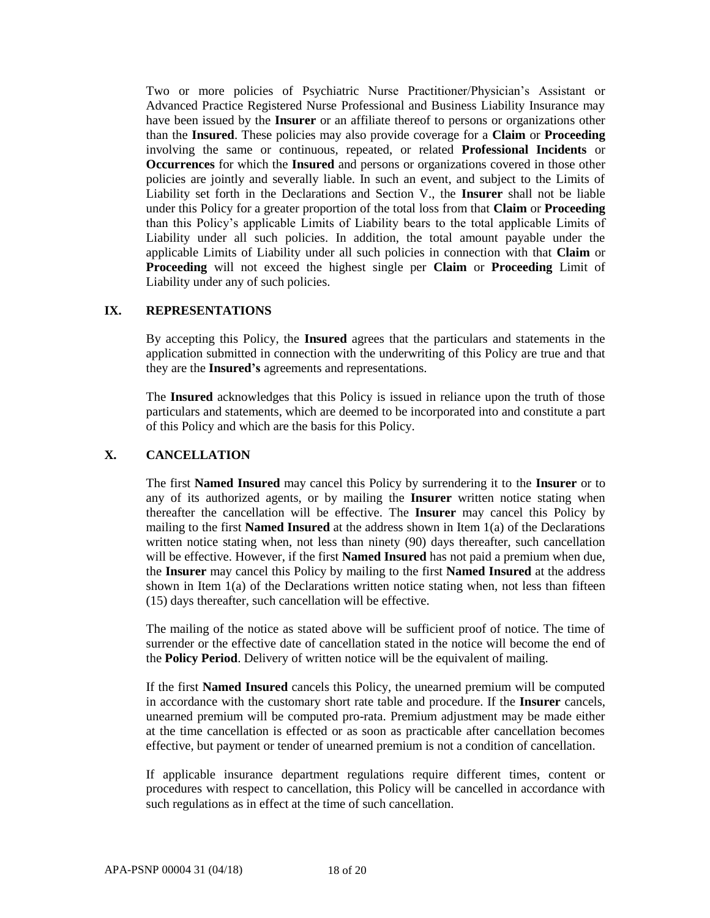Two or more policies of Psychiatric Nurse Practitioner/Physician's Assistant or Advanced Practice Registered Nurse Professional and Business Liability Insurance may have been issued by the **Insurer** or an affiliate thereof to persons or organizations other than the **Insured**. These policies may also provide coverage for a **Claim** or **Proceeding** involving the same or continuous, repeated, or related **Professional Incidents** or **Occurrences** for which the **Insured** and persons or organizations covered in those other policies are jointly and severally liable. In such an event, and subject to the Limits of Liability set forth in the Declarations and Section V., the **Insurer** shall not be liable under this Policy for a greater proportion of the total loss from that **Claim** or **Proceeding** than this Policy's applicable Limits of Liability bears to the total applicable Limits of Liability under all such policies. In addition, the total amount payable under the applicable Limits of Liability under all such policies in connection with that **Claim** or **Proceeding** will not exceed the highest single per **Claim** or **Proceeding** Limit of Liability under any of such policies.

### **IX. REPRESENTATIONS**

By accepting this Policy, the **Insured** agrees that the particulars and statements in the application submitted in connection with the underwriting of this Policy are true and that they are the **Insured's** agreements and representations.

The **Insured** acknowledges that this Policy is issued in reliance upon the truth of those particulars and statements, which are deemed to be incorporated into and constitute a part of this Policy and which are the basis for this Policy.

## **X. CANCELLATION**

The first **Named Insured** may cancel this Policy by surrendering it to the **Insurer** or to any of its authorized agents, or by mailing the **Insurer** written notice stating when thereafter the cancellation will be effective. The **Insurer** may cancel this Policy by mailing to the first **Named Insured** at the address shown in Item 1(a) of the Declarations written notice stating when, not less than ninety (90) days thereafter, such cancellation will be effective. However, if the first **Named Insured** has not paid a premium when due, the **Insurer** may cancel this Policy by mailing to the first **Named Insured** at the address shown in Item  $1(a)$  of the Declarations written notice stating when, not less than fifteen (15) days thereafter, such cancellation will be effective.

The mailing of the notice as stated above will be sufficient proof of notice. The time of surrender or the effective date of cancellation stated in the notice will become the end of the **Policy Period**. Delivery of written notice will be the equivalent of mailing.

If the first **Named Insured** cancels this Policy, the unearned premium will be computed in accordance with the customary short rate table and procedure. If the **Insurer** cancels, unearned premium will be computed pro-rata. Premium adjustment may be made either at the time cancellation is effected or as soon as practicable after cancellation becomes effective, but payment or tender of unearned premium is not a condition of cancellation.

If applicable insurance department regulations require different times, content or procedures with respect to cancellation, this Policy will be cancelled in accordance with such regulations as in effect at the time of such cancellation.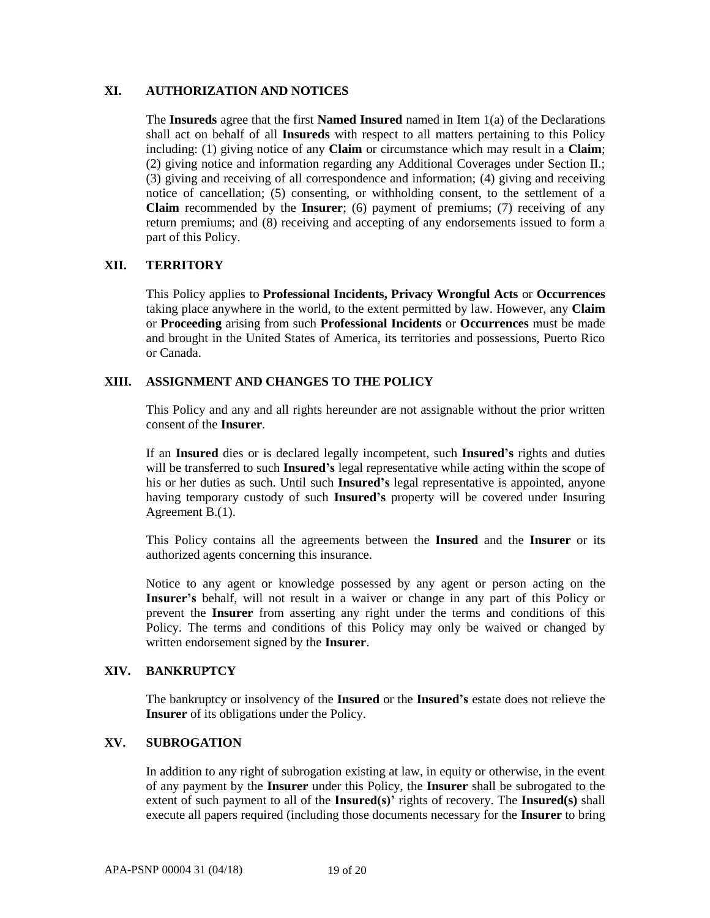### **XI. AUTHORIZATION AND NOTICES**

The **Insureds** agree that the first **Named Insured** named in Item 1(a) of the Declarations shall act on behalf of all **Insureds** with respect to all matters pertaining to this Policy including: (1) giving notice of any **Claim** or circumstance which may result in a **Claim**; (2) giving notice and information regarding any Additional Coverages under Section II.; (3) giving and receiving of all correspondence and information; (4) giving and receiving notice of cancellation; (5) consenting, or withholding consent, to the settlement of a **Claim** recommended by the **Insurer**; (6) payment of premiums; (7) receiving of any return premiums; and (8) receiving and accepting of any endorsements issued to form a part of this Policy.

### **XII. TERRITORY**

This Policy applies to **Professional Incidents, Privacy Wrongful Acts** or **Occurrences** taking place anywhere in the world, to the extent permitted by law. However, any **Claim**  or **Proceeding** arising from such **Professional Incidents** or **Occurrences** must be made and brought in the United States of America, its territories and possessions, Puerto Rico or Canada.

### **XIII. ASSIGNMENT AND CHANGES TO THE POLICY**

This Policy and any and all rights hereunder are not assignable without the prior written consent of the **Insurer**.

If an **Insured** dies or is declared legally incompetent, such **Insured's** rights and duties will be transferred to such **Insured's** legal representative while acting within the scope of his or her duties as such. Until such **Insured's** legal representative is appointed, anyone having temporary custody of such **Insured's** property will be covered under Insuring Agreement B.(1).

This Policy contains all the agreements between the **Insured** and the **Insurer** or its authorized agents concerning this insurance.

Notice to any agent or knowledge possessed by any agent or person acting on the **Insurer's** behalf, will not result in a waiver or change in any part of this Policy or prevent the **Insurer** from asserting any right under the terms and conditions of this Policy. The terms and conditions of this Policy may only be waived or changed by written endorsement signed by the **Insurer**.

### **XIV. BANKRUPTCY**

The bankruptcy or insolvency of the **Insured** or the **Insured's** estate does not relieve the **Insurer** of its obligations under the Policy.

## **XV. SUBROGATION**

In addition to any right of subrogation existing at law, in equity or otherwise, in the event of any payment by the **Insurer** under this Policy, the **Insurer** shall be subrogated to the extent of such payment to all of the **Insured(s)'** rights of recovery. The **Insured(s)** shall execute all papers required (including those documents necessary for the **Insurer** to bring